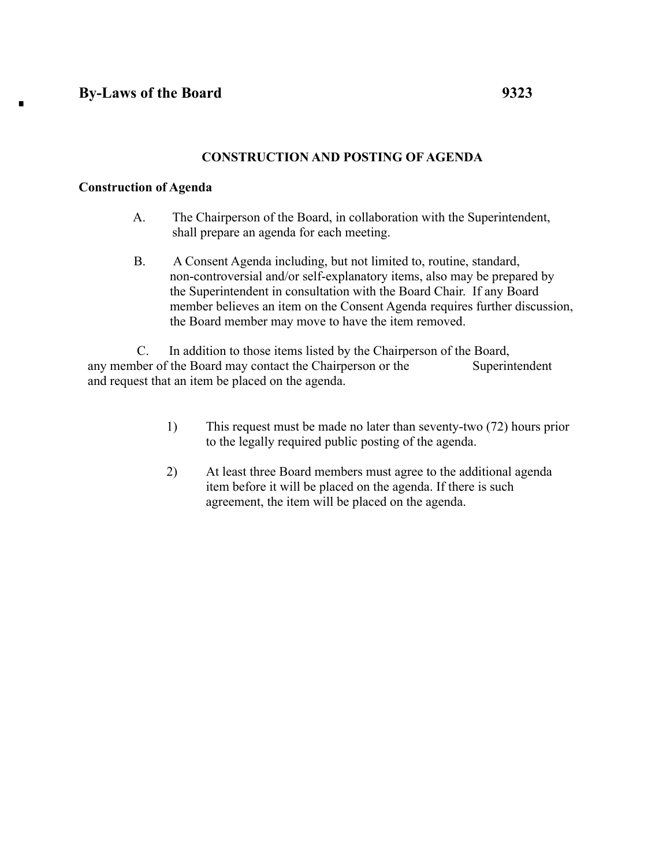п

## **CONSTRUCTION AND POSTING OF AGENDA**

## **Construction of Agenda**

- A. The Chairperson of the Board, in collaboration with the Superintendent, shall prepare an agenda for each meeting.
- B. A Consent Agenda including, but not limited to, routine, standard, non-controversial and/or self-explanatory items, also may be prepared by the Superintendent in consultation with the Board Chair. If any Board member believes an item on the Consent Agenda requires further discussion, the Board member may move to have the item removed.

C. In addition to those items listed by the Chairperson of the Board, any member of the Board may contact the Chairperson or the Superintendent and request that an item be placed on the agenda.

- 1) This request must be made no later than seventy-two (72) hours prior to the legally required public posting of the agenda.
- 2) At least three Board members must agree to the additional agenda item before it will be placed on the agenda. If there is such agreement, the item will be placed on the agenda.